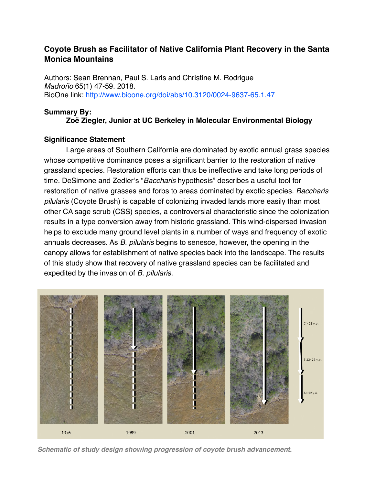# **Coyote Brush as Facilitator of Native California Plant Recovery in the Santa Monica Mountains**

Authors: Sean Brennan, Paul S. Laris and Christine M. Rodrigue *Madroño* 65(1) 47-59. 2018. BioOne link:<http://www.bioone.org/doi/abs/10.3120/0024-9637-65.1.47>

### **Summary By:**

## **Zoë Ziegler, Junior at UC Berkeley in Molecular Environmental Biology**

### **Significance Statement**

Large areas of Southern California are dominated by exotic annual grass species whose competitive dominance poses a significant barrier to the restoration of native grassland species. Restoration efforts can thus be ineffective and take long periods of time. DeSimone and Zedler's "*Baccharis* hypothesis" describes a useful tool for restoration of native grasses and forbs to areas dominated by exotic species. *Baccharis pilularis* (Coyote Brush) is capable of colonizing invaded lands more easily than most other CA sage scrub (CSS) species, a controversial characteristic since the colonization results in a type conversion away from historic grassland. This wind-dispersed invasion helps to exclude many ground level plants in a number of ways and frequency of exotic annuals decreases. As *B. pilularis* begins to senesce, however, the opening in the canopy allows for establishment of native species back into the landscape. The results of this study show that recovery of native grassland species can be facilitated and expedited by the invasion of *B. pilularis*.



*Schematic of study design showing progression of coyote brush advancement.*